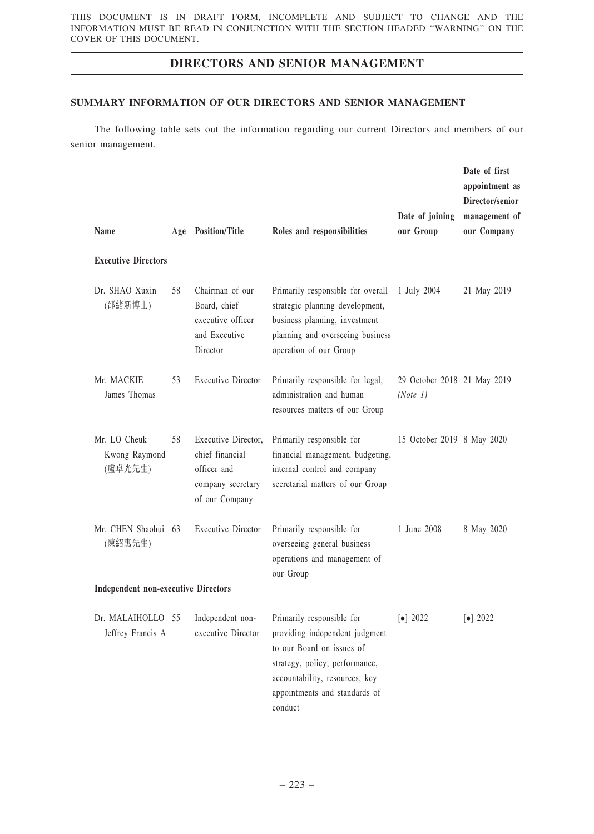### SUMMARY INFORMATION OF OUR DIRECTORS AND SENIOR MANAGEMENT

The following table sets out the information regarding our current Directors and members of our senior management.

| <b>Name</b>                                |    | Age Position/Title                                                                           | Roles and responsibilities                                                                                                                                                                               | Date of joining<br>our Group            | Date of first<br>appointment as<br>Director/senior<br>management of<br>our Company |
|--------------------------------------------|----|----------------------------------------------------------------------------------------------|----------------------------------------------------------------------------------------------------------------------------------------------------------------------------------------------------------|-----------------------------------------|------------------------------------------------------------------------------------|
| <b>Executive Directors</b>                 |    |                                                                                              |                                                                                                                                                                                                          |                                         |                                                                                    |
| Dr. SHAO Xuxin<br>(邵緒新博士)                  | 58 | Chairman of our<br>Board, chief<br>executive officer<br>and Executive<br>Director            | Primarily responsible for overall<br>strategic planning development,<br>business planning, investment<br>planning and overseeing business<br>operation of our Group                                      | 1 July 2004                             | 21 May 2019                                                                        |
| Mr. MACKIE<br>James Thomas                 | 53 | <b>Executive Director</b>                                                                    | Primarily responsible for legal,<br>administration and human<br>resources matters of our Group                                                                                                           | 29 October 2018 21 May 2019<br>(Note 1) |                                                                                    |
| Mr. LO Cheuk<br>Kwong Raymond<br>(盧卓光先生)   | 58 | Executive Director,<br>chief financial<br>officer and<br>company secretary<br>of our Company | Primarily responsible for<br>financial management, budgeting,<br>internal control and company<br>secretarial matters of our Group                                                                        | 15 October 2019 8 May 2020              |                                                                                    |
| Mr. CHEN Shaohui 63<br>(陳紹惠先生)             |    | <b>Executive Director</b>                                                                    | Primarily responsible for<br>overseeing general business<br>operations and management of<br>our Group                                                                                                    | 1 June 2008                             | 8 May 2020                                                                         |
| <b>Independent non-executive Directors</b> |    |                                                                                              |                                                                                                                                                                                                          |                                         |                                                                                    |
| Dr. MALAIHOLLO 55<br>Jeffrey Francis A     |    | Independent non-<br>executive Director                                                       | Primarily responsible for<br>providing independent judgment<br>to our Board on issues of<br>strategy, policy, performance,<br>accountability, resources, key<br>appointments and standards of<br>conduct | $\left[\bullet\right]$ 2022             | $\left[ \bullet \right] 2022$                                                      |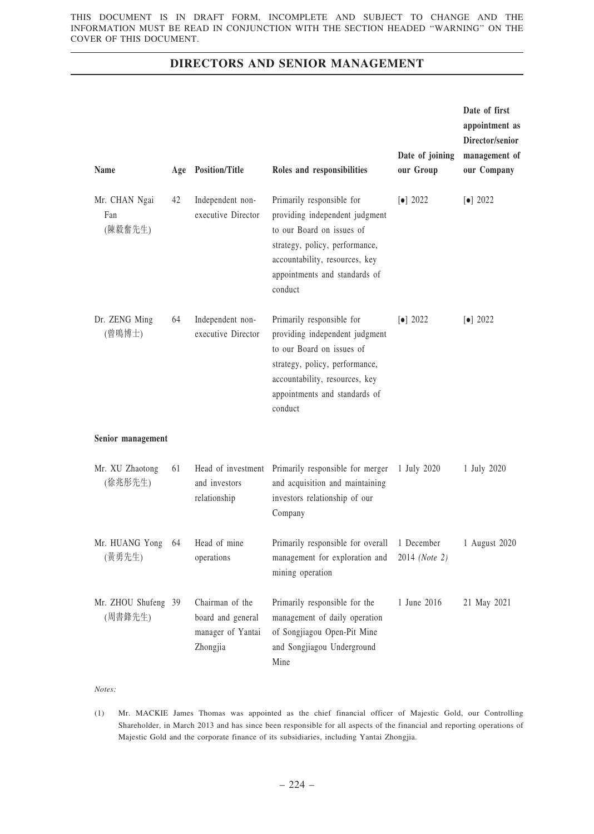| Name                            | Age | <b>Position/Title</b>                                                 | Roles and responsibilities                                                                                                                                                                               | Date of joining<br>our Group | Date of first<br>appointment as<br>Director/senior<br>management of<br>our Company |
|---------------------------------|-----|-----------------------------------------------------------------------|----------------------------------------------------------------------------------------------------------------------------------------------------------------------------------------------------------|------------------------------|------------------------------------------------------------------------------------|
| Mr. CHAN Ngai<br>Fan<br>(陳毅奮先生) | 42  | Independent non-<br>executive Director                                | Primarily responsible for<br>providing independent judgment<br>to our Board on issues of<br>strategy, policy, performance,<br>accountability, resources, key<br>appointments and standards of<br>conduct | $\left[\bullet\right]$ 2022  | $\left[\bullet\right]$ 2022                                                        |
| Dr. ZENG Ming<br>(曾鳴博士)         | 64  | Independent non-<br>executive Director                                | Primarily responsible for<br>providing independent judgment<br>to our Board on issues of<br>strategy, policy, performance,<br>accountability, resources, key<br>appointments and standards of<br>conduct | $\left[\bullet\right]$ 2022  | $\lceil \bullet \rceil$ 2022                                                       |
| Senior management               |     |                                                                       |                                                                                                                                                                                                          |                              |                                                                                    |
| Mr. XU Zhaotong<br>(徐兆彤先生)      | 61  | Head of investment<br>and investors<br>relationship                   | Primarily responsible for merger<br>and acquisition and maintaining<br>investors relationship of our<br>Company                                                                                          | 1 July 2020                  | 1 July 2020                                                                        |
| Mr. HUANG Yong<br>(黃勇先生)        | 64  | Head of mine<br>operations                                            | Primarily responsible for overall<br>management for exploration and<br>mining operation                                                                                                                  | 1 December<br>2014 (Note 2)  | 1 August 2020                                                                      |
| Mr. ZHOU Shufeng 39<br>(周書鋒先生)  |     | Chairman of the<br>board and general<br>manager of Yantai<br>Zhongjia | Primarily responsible for the<br>management of daily operation<br>of Songjiagou Open-Pit Mine<br>and Songjiagou Underground<br>Mine                                                                      | 1 June 2016                  | 21 May 2021                                                                        |

Notes:

<sup>(1)</sup> Mr. MACKIE James Thomas was appointed as the chief financial officer of Majestic Gold, our Controlling Shareholder, in March 2013 and has since been responsible for all aspects of the financial and reporting operations of Majestic Gold and the corporate finance of its subsidiaries, including Yantai Zhongjia.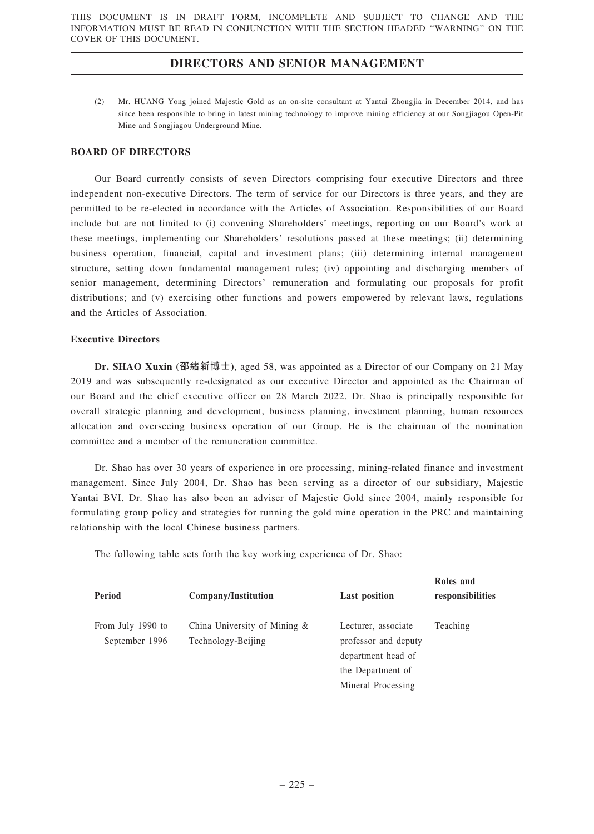(2) Mr. HUANG Yong joined Majestic Gold as an on-site consultant at Yantai Zhongjia in December 2014, and has since been responsible to bring in latest mining technology to improve mining efficiency at our Songjiagou Open-Pit Mine and Songjiagou Underground Mine.

### BOARD OF DIRECTORS

Our Board currently consists of seven Directors comprising four executive Directors and three independent non-executive Directors. The term of service for our Directors is three years, and they are permitted to be re-elected in accordance with the Articles of Association. Responsibilities of our Board include but are not limited to (i) convening Shareholders' meetings, reporting on our Board's work at these meetings, implementing our Shareholders' resolutions passed at these meetings; (ii) determining business operation, financial, capital and investment plans; (iii) determining internal management structure, setting down fundamental management rules; (iv) appointing and discharging members of senior management, determining Directors' remuneration and formulating our proposals for profit distributions; and (v) exercising other functions and powers empowered by relevant laws, regulations and the Articles of Association.

### Executive Directors

Dr. SHAO Xuxin (邵緒新博士), aged 58, was appointed as a Director of our Company on 21 May 2019 and was subsequently re-designated as our executive Director and appointed as the Chairman of our Board and the chief executive officer on 28 March 2022. Dr. Shao is principally responsible for overall strategic planning and development, business planning, investment planning, human resources allocation and overseeing business operation of our Group. He is the chairman of the nomination committee and a member of the remuneration committee.

Dr. Shao has over 30 years of experience in ore processing, mining-related finance and investment management. Since July 2004, Dr. Shao has been serving as a director of our subsidiary, Majestic Yantai BVI. Dr. Shao has also been an adviser of Majestic Gold since 2004, mainly responsible for formulating group policy and strategies for running the gold mine operation in the PRC and maintaining relationship with the local Chinese business partners.

The following table sets forth the key working experience of Dr. Shao:

| Period                              | Company/Institution                                | <b>Last position</b>                        | Roles and<br>responsibilities |
|-------------------------------------|----------------------------------------------------|---------------------------------------------|-------------------------------|
| From July 1990 to<br>September 1996 | China University of Mining &<br>Technology-Beijing | Lecturer, associate<br>professor and deputy | Teaching                      |
|                                     |                                                    | department head of                          |                               |
|                                     |                                                    | the Department of                           |                               |
|                                     |                                                    | Mineral Processing                          |                               |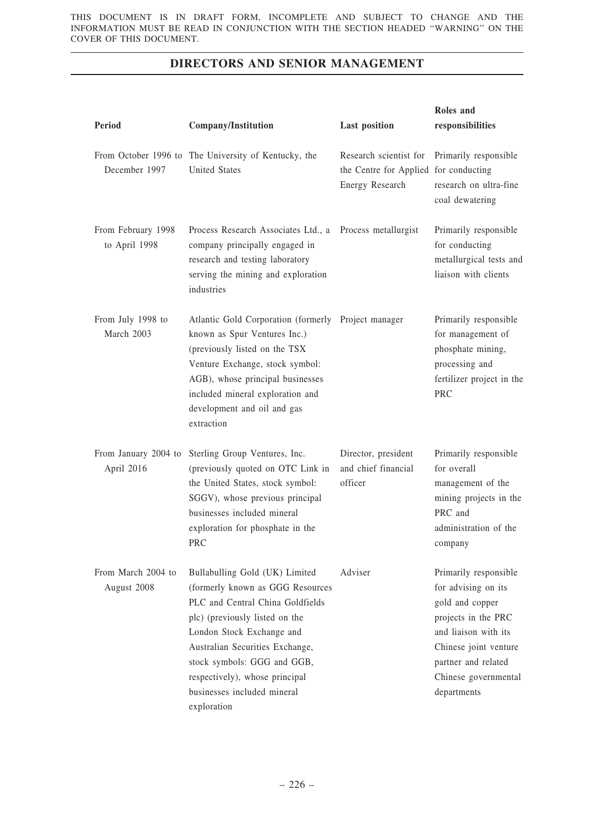| Period                              | <b>Company/Institution</b>                                                                                                                                                                                                                                                                                              | <b>Last position</b>                                                               | Roles and<br>responsibilities                                                                                                                                                                         |
|-------------------------------------|-------------------------------------------------------------------------------------------------------------------------------------------------------------------------------------------------------------------------------------------------------------------------------------------------------------------------|------------------------------------------------------------------------------------|-------------------------------------------------------------------------------------------------------------------------------------------------------------------------------------------------------|
| December 1997                       | From October 1996 to The University of Kentucky, the<br><b>United States</b>                                                                                                                                                                                                                                            | Research scientist for<br>the Centre for Applied for conducting<br>Energy Research | Primarily responsible<br>research on ultra-fine<br>coal dewatering                                                                                                                                    |
| From February 1998<br>to April 1998 | Process Research Associates Ltd., a<br>company principally engaged in<br>research and testing laboratory<br>serving the mining and exploration<br>industries                                                                                                                                                            | Process metallurgist                                                               | Primarily responsible<br>for conducting<br>metallurgical tests and<br>liaison with clients                                                                                                            |
| From July 1998 to<br>March 2003     | Atlantic Gold Corporation (formerly Project manager<br>known as Spur Ventures Inc.)<br>(previously listed on the TSX<br>Venture Exchange, stock symbol:<br>AGB), whose principal businesses<br>included mineral exploration and<br>development and oil and gas<br>extraction                                            |                                                                                    | Primarily responsible<br>for management of<br>phosphate mining,<br>processing and<br>fertilizer project in the<br><b>PRC</b>                                                                          |
| From January 2004 to<br>April 2016  | Sterling Group Ventures, Inc.<br>(previously quoted on OTC Link in<br>the United States, stock symbol:<br>SGGV), whose previous principal<br>businesses included mineral<br>exploration for phosphate in the<br><b>PRC</b>                                                                                              | Director, president<br>and chief financial<br>officer                              | Primarily responsible<br>for overall<br>management of the<br>mining projects in the<br>PRC and<br>administration of the<br>company                                                                    |
| From March 2004 to<br>August 2008   | Bullabulling Gold (UK) Limited<br>(formerly known as GGG Resources<br>PLC and Central China Goldfields<br>plc) (previously listed on the<br>London Stock Exchange and<br>Australian Securities Exchange,<br>stock symbols: GGG and GGB,<br>respectively), whose principal<br>businesses included mineral<br>exploration | Adviser                                                                            | Primarily responsible<br>for advising on its<br>gold and copper<br>projects in the PRC<br>and liaison with its<br>Chinese joint venture<br>partner and related<br>Chinese governmental<br>departments |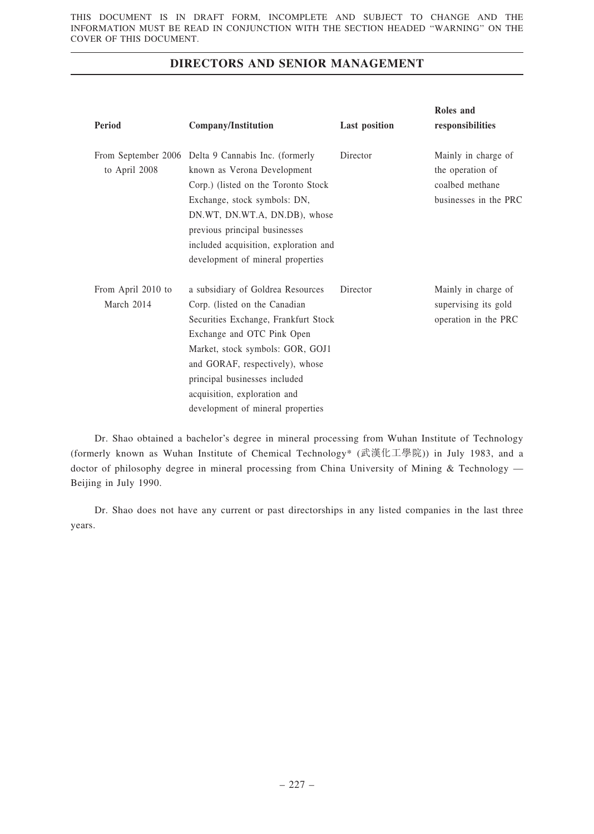| <b>Period</b>                    | <b>Company/Institution</b>                                                                                                                                                                                                                                                                                            | <b>Last position</b> | Roles and<br>responsibilities                                                       |
|----------------------------------|-----------------------------------------------------------------------------------------------------------------------------------------------------------------------------------------------------------------------------------------------------------------------------------------------------------------------|----------------------|-------------------------------------------------------------------------------------|
| to April 2008                    | From September 2006 Delta 9 Cannabis Inc. (formerly<br>known as Verona Development<br>Corp.) (listed on the Toronto Stock<br>Exchange, stock symbols: DN,<br>DN.WT, DN.WT.A, DN.DB), whose<br>previous principal businesses<br>included acquisition, exploration and<br>development of mineral properties             | Director             | Mainly in charge of<br>the operation of<br>coalbed methane<br>businesses in the PRC |
| From April 2010 to<br>March 2014 | a subsidiary of Goldrea Resources<br>Corp. (listed on the Canadian<br>Securities Exchange, Frankfurt Stock<br>Exchange and OTC Pink Open<br>Market, stock symbols: GOR, GOJ1<br>and GORAF, respectively), whose<br>principal businesses included<br>acquisition, exploration and<br>development of mineral properties | Director             | Mainly in charge of<br>supervising its gold<br>operation in the PRC                 |

Dr. Shao obtained a bachelor's degree in mineral processing from Wuhan Institute of Technology (formerly known as Wuhan Institute of Chemical Technology\* (武漢化工學院)) in July 1983, and a doctor of philosophy degree in mineral processing from China University of Mining & Technology — Beijing in July 1990.

Dr. Shao does not have any current or past directorships in any listed companies in the last three years.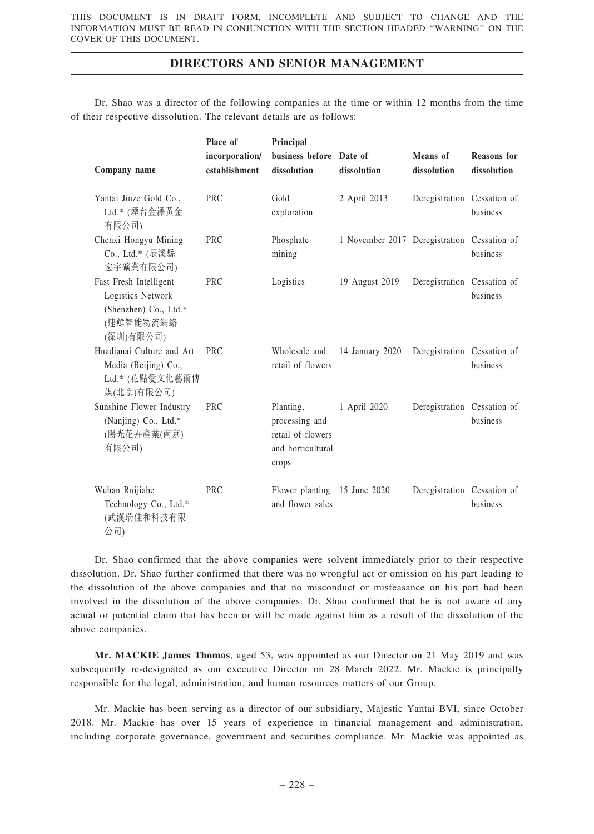Dr. Shao was a director of the following companies at the time or within 12 months from the time of their respective dissolution. The relevant details are as follows:

|                                                                                                | Place of                        | Principal                                                                      |                                             |                                |                                   |
|------------------------------------------------------------------------------------------------|---------------------------------|--------------------------------------------------------------------------------|---------------------------------------------|--------------------------------|-----------------------------------|
| Company name                                                                                   | incorporation/<br>establishment | business before Date of<br>dissolution                                         | dissolution                                 | <b>Means</b> of<br>dissolution | <b>Reasons</b> for<br>dissolution |
| Yantai Jinze Gold Co.,<br>Ltd.* (煙台金澤黃金<br>有限公司)                                               | <b>PRC</b>                      | Gold<br>exploration                                                            | 2 April 2013                                | Deregistration Cessation of    | business                          |
| Chenxi Hongyu Mining<br>Co., Ltd.* (辰溪縣<br>宏宇礦業有限公司)                                           | <b>PRC</b>                      | Phosphate<br>mining                                                            | 1 November 2017 Deregistration Cessation of |                                | business                          |
| Fast Fresh Intelligent<br>Logistics Network<br>(Shenzhen) Co., Ltd.*<br>(速鮮智能物流網絡<br>(深圳)有限公司) | <b>PRC</b>                      | Logistics                                                                      | 19 August 2019                              | Deregistration Cessation of    | business                          |
| Huadianai Culture and Art<br>Media (Beijing) Co.,<br>Ltd.* (花點愛文化藝術傳<br>媒(北京)有限公司)             | <b>PRC</b>                      | Wholesale and<br>retail of flowers                                             | 14 January 2020                             | Deregistration Cessation of    | business                          |
| Sunshine Flower Industry<br>(Nanjing) Co., Ltd.*<br>(陽光花卉產業(南京)<br>有限公司)                       | <b>PRC</b>                      | Planting,<br>processing and<br>retail of flowers<br>and horticultural<br>crops | 1 April 2020                                | Deregistration Cessation of    | business                          |
| Wuhan Ruijiahe<br>Technology Co., Ltd.*<br>(武漢瑞佳和科技有限<br>公司)                                   | <b>PRC</b>                      | Flower planting 15 June 2020<br>and flower sales                               |                                             | Deregistration Cessation of    | business                          |

Dr. Shao confirmed that the above companies were solvent immediately prior to their respective dissolution. Dr. Shao further confirmed that there was no wrongful act or omission on his part leading to the dissolution of the above companies and that no misconduct or misfeasance on his part had been involved in the dissolution of the above companies. Dr. Shao confirmed that he is not aware of any actual or potential claim that has been or will be made against him as a result of the dissolution of the above companies.

Mr. MACKIE James Thomas, aged 53, was appointed as our Director on 21 May 2019 and was subsequently re-designated as our executive Director on 28 March 2022. Mr. Mackie is principally responsible for the legal, administration, and human resources matters of our Group.

Mr. Mackie has been serving as a director of our subsidiary, Majestic Yantai BVI, since October 2018. Mr. Mackie has over 15 years of experience in financial management and administration, including corporate governance, government and securities compliance. Mr. Mackie was appointed as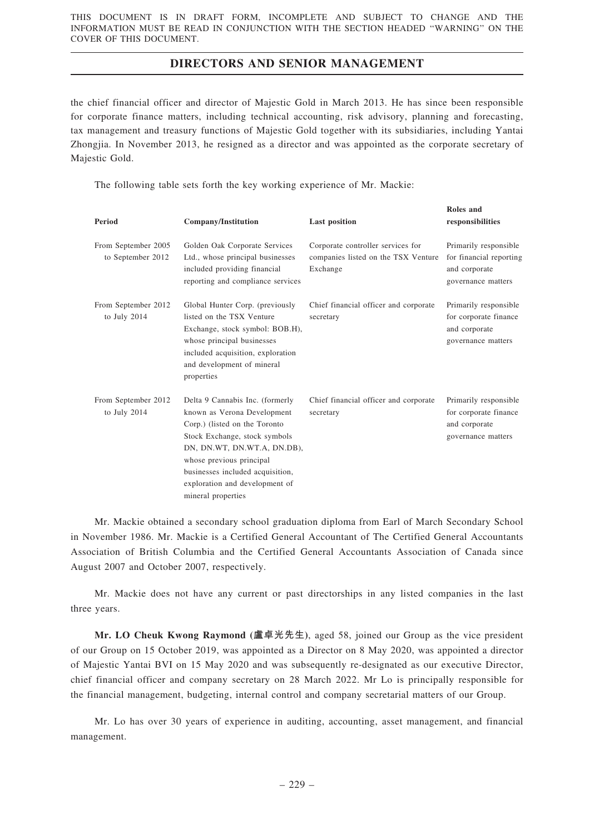the chief financial officer and director of Majestic Gold in March 2013. He has since been responsible for corporate finance matters, including technical accounting, risk advisory, planning and forecasting, tax management and treasury functions of Majestic Gold together with its subsidiaries, including Yantai Zhongjia. In November 2013, he resigned as a director and was appointed as the corporate secretary of Majestic Gold.

 $R_{\rm B}$ 

The following table sets forth the key working experience of Mr. Mackie:

| Period                                   | Company/Institution                                                                                                                                                                                                                                                                     | <b>Last position</b>                                                                 | конез апи<br>responsibilities                                                           |
|------------------------------------------|-----------------------------------------------------------------------------------------------------------------------------------------------------------------------------------------------------------------------------------------------------------------------------------------|--------------------------------------------------------------------------------------|-----------------------------------------------------------------------------------------|
| From September 2005<br>to September 2012 | Golden Oak Corporate Services<br>Ltd., whose principal businesses<br>included providing financial<br>reporting and compliance services                                                                                                                                                  | Corporate controller services for<br>companies listed on the TSX Venture<br>Exchange | Primarily responsible<br>for financial reporting<br>and corporate<br>governance matters |
| From September 2012<br>to July 2014      | Global Hunter Corp. (previously<br>listed on the TSX Venture<br>Exchange, stock symbol: BOB.H),<br>whose principal businesses<br>included acquisition, exploration<br>and development of mineral<br>properties                                                                          | Chief financial officer and corporate<br>secretary                                   | Primarily responsible<br>for corporate finance<br>and corporate<br>governance matters   |
| From September 2012<br>to July 2014      | Delta 9 Cannabis Inc. (formerly<br>known as Verona Development<br>Corp.) (listed on the Toronto<br>Stock Exchange, stock symbols<br>DN, DN.WT, DN.WT.A, DN.DB),<br>whose previous principal<br>businesses included acquisition,<br>exploration and development of<br>mineral properties | Chief financial officer and corporate<br>secretary                                   | Primarily responsible<br>for corporate finance<br>and corporate<br>governance matters   |

Mr. Mackie obtained a secondary school graduation diploma from Earl of March Secondary School in November 1986. Mr. Mackie is a Certified General Accountant of The Certified General Accountants Association of British Columbia and the Certified General Accountants Association of Canada since August 2007 and October 2007, respectively.

Mr. Mackie does not have any current or past directorships in any listed companies in the last three years.

Mr. LO Cheuk Kwong Raymond (盧卓光先生), aged 58, joined our Group as the vice president of our Group on 15 October 2019, was appointed as a Director on 8 May 2020, was appointed a director of Majestic Yantai BVI on 15 May 2020 and was subsequently re-designated as our executive Director, chief financial officer and company secretary on 28 March 2022. Mr Lo is principally responsible for the financial management, budgeting, internal control and company secretarial matters of our Group.

Mr. Lo has over 30 years of experience in auditing, accounting, asset management, and financial management.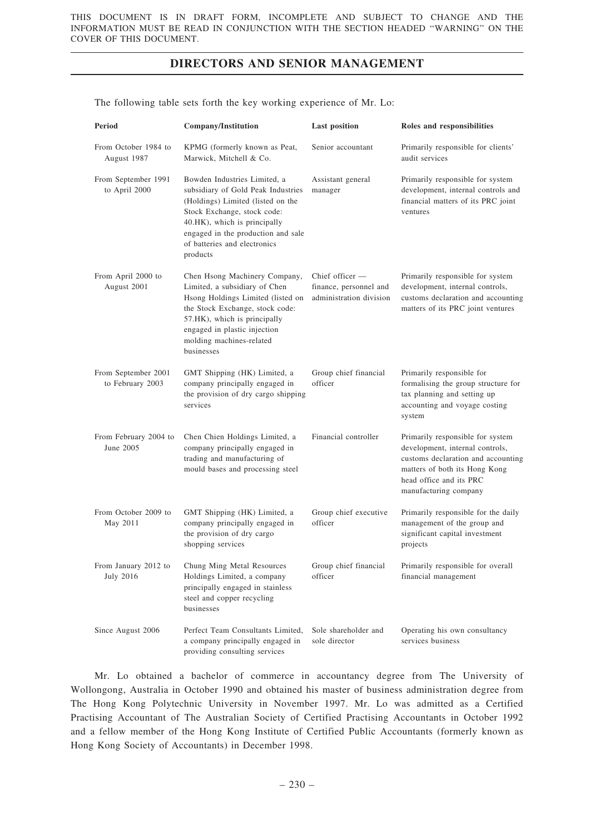The following table sets forth the key working experience of Mr. Lo:

| Period                                   | Company/Institution                                                                                                                                                                                                                                      | <b>Last position</b>                                                   | Roles and responsibilities                                                                                                                                                                     |
|------------------------------------------|----------------------------------------------------------------------------------------------------------------------------------------------------------------------------------------------------------------------------------------------------------|------------------------------------------------------------------------|------------------------------------------------------------------------------------------------------------------------------------------------------------------------------------------------|
| From October 1984 to<br>August 1987      | KPMG (formerly known as Peat,<br>Marwick, Mitchell & Co.                                                                                                                                                                                                 | Senior accountant                                                      | Primarily responsible for clients'<br>audit services                                                                                                                                           |
| From September 1991<br>to April 2000     | Bowden Industries Limited, a<br>subsidiary of Gold Peak Industries<br>(Holdings) Limited (listed on the<br>Stock Exchange, stock code:<br>40.HK), which is principally<br>engaged in the production and sale<br>of batteries and electronics<br>products | Assistant general<br>manager                                           | Primarily responsible for system<br>development, internal controls and<br>financial matters of its PRC joint<br>ventures                                                                       |
| From April 2000 to<br>August 2001        | Chen Hsong Machinery Company,<br>Limited, a subsidiary of Chen<br>Hsong Holdings Limited (listed on<br>the Stock Exchange, stock code:<br>57.HK), which is principally<br>engaged in plastic injection<br>molding machines-related<br>businesses         | Chief officer $-$<br>finance, personnel and<br>administration division | Primarily responsible for system<br>development, internal controls,<br>customs declaration and accounting<br>matters of its PRC joint ventures                                                 |
| From September 2001<br>to February 2003  | GMT Shipping (HK) Limited, a<br>company principally engaged in<br>the provision of dry cargo shipping<br>services                                                                                                                                        | Group chief financial<br>officer                                       | Primarily responsible for<br>formalising the group structure for<br>tax planning and setting up<br>accounting and voyage costing<br>system                                                     |
| From February 2004 to<br>June 2005       | Chen Chien Holdings Limited, a<br>company principally engaged in<br>trading and manufacturing of<br>mould bases and processing steel                                                                                                                     | Financial controller                                                   | Primarily responsible for system<br>development, internal controls,<br>customs declaration and accounting<br>matters of both its Hong Kong<br>head office and its PRC<br>manufacturing company |
| From October 2009 to<br>May 2011         | GMT Shipping (HK) Limited, a<br>company principally engaged in<br>the provision of dry cargo<br>shopping services                                                                                                                                        | Group chief executive<br>officer                                       | Primarily responsible for the daily<br>management of the group and<br>significant capital investment<br>projects                                                                               |
| From January 2012 to<br><b>July 2016</b> | Chung Ming Metal Resources<br>Holdings Limited, a company<br>principally engaged in stainless<br>steel and copper recycling<br>businesses                                                                                                                | Group chief financial<br>officer                                       | Primarily responsible for overall<br>financial management                                                                                                                                      |
| Since August 2006                        | Perfect Team Consultants Limited,<br>a company principally engaged in<br>providing consulting services                                                                                                                                                   | Sole shareholder and<br>sole director                                  | Operating his own consultancy<br>services business                                                                                                                                             |

Mr. Lo obtained a bachelor of commerce in accountancy degree from The University of Wollongong, Australia in October 1990 and obtained his master of business administration degree from The Hong Kong Polytechnic University in November 1997. Mr. Lo was admitted as a Certified Practising Accountant of The Australian Society of Certified Practising Accountants in October 1992 and a fellow member of the Hong Kong Institute of Certified Public Accountants (formerly known as Hong Kong Society of Accountants) in December 1998.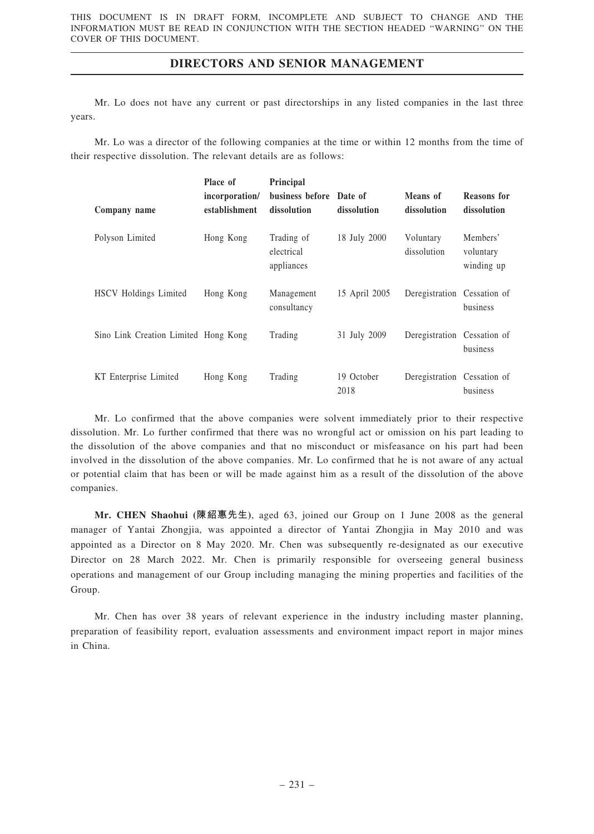Mr. Lo does not have any current or past directorships in any listed companies in the last three years.

Mr. Lo was a director of the following companies at the time or within 12 months from the time of their respective dissolution. The relevant details are as follows:

|                                      | Place of       | Principal                              |                    |                             |                                     |
|--------------------------------------|----------------|----------------------------------------|--------------------|-----------------------------|-------------------------------------|
|                                      | incorporation/ | business before Date of                |                    | Means of                    | <b>Reasons</b> for                  |
| Company name                         | establishment  | dissolution                            | dissolution        | dissolution                 | dissolution                         |
| Polyson Limited                      | Hong Kong      | Trading of<br>electrical<br>appliances | 18 July 2000       | Voluntary<br>dissolution    | Members'<br>voluntary<br>winding up |
| HSCV Holdings Limited                | Hong Kong      | Management<br>consultancy              | 15 April 2005      | Deregistration Cessation of | business                            |
| Sino Link Creation Limited Hong Kong |                | Trading                                | 31 July 2009       | Deregistration Cessation of | business                            |
| KT Enterprise Limited                | Hong Kong      | Trading                                | 19 October<br>2018 | Deregistration Cessation of | business                            |

Mr. Lo confirmed that the above companies were solvent immediately prior to their respective dissolution. Mr. Lo further confirmed that there was no wrongful act or omission on his part leading to the dissolution of the above companies and that no misconduct or misfeasance on his part had been involved in the dissolution of the above companies. Mr. Lo confirmed that he is not aware of any actual or potential claim that has been or will be made against him as a result of the dissolution of the above companies.

Mr. CHEN Shaohui (陳紹惠先生), aged 63, joined our Group on 1 June 2008 as the general manager of Yantai Zhongjia, was appointed a director of Yantai Zhongjia in May 2010 and was appointed as a Director on 8 May 2020. Mr. Chen was subsequently re-designated as our executive Director on 28 March 2022. Mr. Chen is primarily responsible for overseeing general business operations and management of our Group including managing the mining properties and facilities of the Group.

Mr. Chen has over 38 years of relevant experience in the industry including master planning, preparation of feasibility report, evaluation assessments and environment impact report in major mines in China.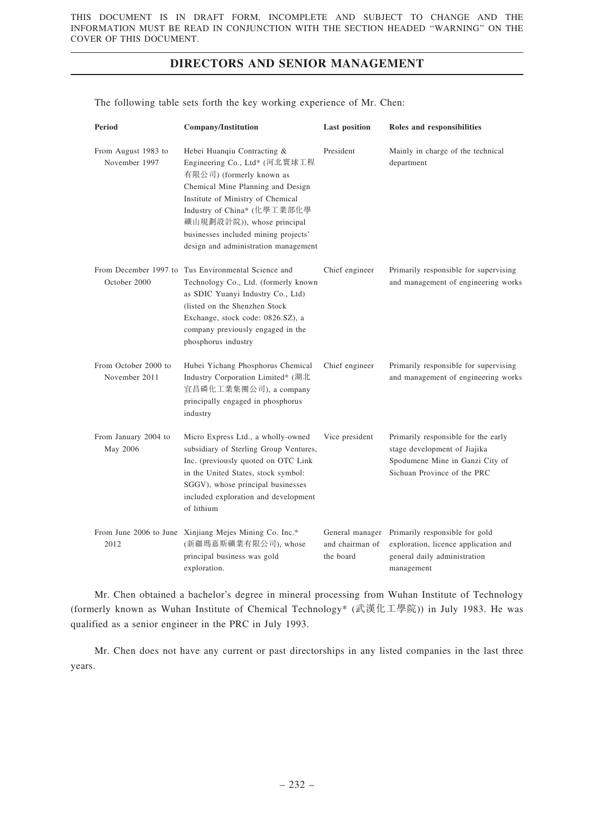| Period                                | <b>Company/Institution</b>                                                                                                                                                                                                                                                                                      | <b>Last position</b>         | Roles and responsibilities                                                                                                            |
|---------------------------------------|-----------------------------------------------------------------------------------------------------------------------------------------------------------------------------------------------------------------------------------------------------------------------------------------------------------------|------------------------------|---------------------------------------------------------------------------------------------------------------------------------------|
| From August 1983 to<br>November 1997  | Hebei Huanqiu Contracting &<br>Engineering Co., Ltd* (河北寰球工程<br>有限公司) (formerly known as<br>Chemical Mine Planning and Design<br>Institute of Ministry of Chemical<br>Industry of China* (化學工業部化學<br>礦山規劃設計院)), whose principal<br>businesses included mining projects'<br>design and administration management | President                    | Mainly in charge of the technical<br>department                                                                                       |
| October 2000                          | From December 1997 to Tus Environmental Science and<br>Technology Co., Ltd. (formerly known<br>as SDIC Yuanyi Industry Co., Ltd)<br>(listed on the Shenzhen Stock<br>Exchange, stock code: 0826.SZ), a<br>company previously engaged in the<br>phosphorus industry                                              | Chief engineer               | Primarily responsible for supervising<br>and management of engineering works                                                          |
| From October 2000 to<br>November 2011 | Hubei Yichang Phosphorus Chemical<br>Industry Corporation Limited* (湖北<br>宜昌磷化工業集團公司), a company<br>principally engaged in phosphorus<br>industry                                                                                                                                                               | Chief engineer               | Primarily responsible for supervising<br>and management of engineering works                                                          |
| From January 2004 to<br>May 2006      | Micro Express Ltd., a wholly-owned<br>subsidiary of Sterling Group Ventures,<br>Inc. (previously quoted on OTC Link<br>in the United States, stock symbol:<br>SGGV), whose principal businesses<br>included exploration and development<br>of lithium                                                           | Vice president               | Primarily responsible for the early<br>stage development of Jiajika<br>Spodumene Mine in Ganzi City of<br>Sichuan Province of the PRC |
| 2012                                  | From June 2006 to June Xinjiang Mejes Mining Co. Inc.*<br>(新疆瑪嘉斯礦業有限公司), whose<br>principal business was gold<br>exploration.                                                                                                                                                                                   | and chairman of<br>the board | General manager Primarily responsible for gold<br>exploration, licence application and<br>general daily administration<br>management  |

The following table sets forth the key working experience of Mr. Chen:

Mr. Chen obtained a bachelor's degree in mineral processing from Wuhan Institute of Technology (formerly known as Wuhan Institute of Chemical Technology\* (武漢化工學院)) in July 1983. He was qualified as a senior engineer in the PRC in July 1993.

Mr. Chen does not have any current or past directorships in any listed companies in the last three years.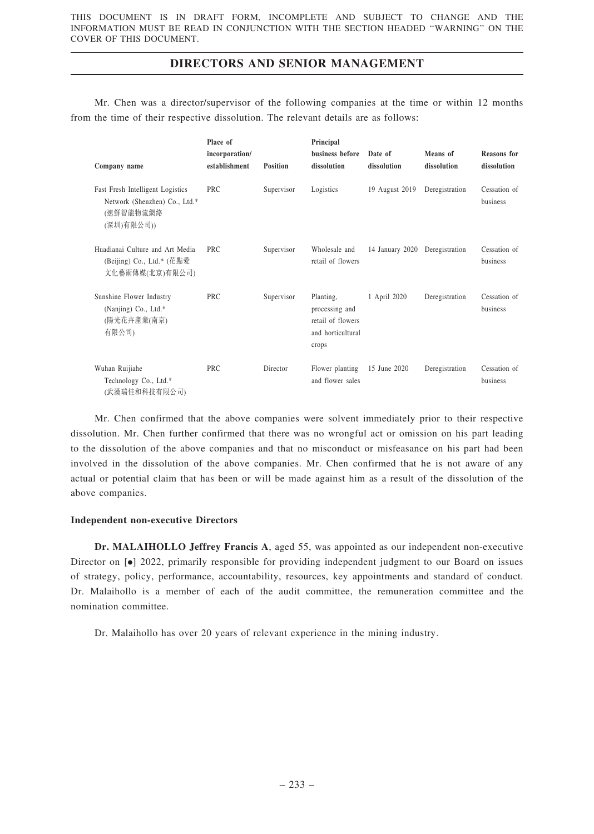Mr. Chen was a director/supervisor of the following companies at the time or within 12 months from the time of their respective dissolution. The relevant details are as follows:

| Company name                                                                                 | Place of<br>incorporation/<br>establishment | <b>Position</b> | Principal<br>business before<br>dissolution                                    | Date of<br>dissolution | Means of<br>dissolution | <b>Reasons</b> for<br>dissolution |
|----------------------------------------------------------------------------------------------|---------------------------------------------|-----------------|--------------------------------------------------------------------------------|------------------------|-------------------------|-----------------------------------|
| Fast Fresh Intelligent Logistics<br>Network (Shenzhen) Co., Ltd.*<br>(速鮮智能物流網絡<br>(深圳)有限公司)) | <b>PRC</b>                                  | Supervisor      | Logistics                                                                      | 19 August 2019         | Deregistration          | Cessation of<br>business          |
| Huadianai Culture and Art Media<br>(Beijing) Co., Ltd.* (花點愛<br>文化藝術傳媒(北京)有限公司)              | PRC.                                        | Supervisor      | Wholesale and<br>retail of flowers                                             | 14 January 2020        | Deregistration          | Cessation of<br>business          |
| Sunshine Flower Industry<br>(Nanjing) Co., Ltd.*<br>(陽光花卉產業(南京)<br>有限公司)                     | <b>PRC</b>                                  | Supervisor      | Planting,<br>processing and<br>retail of flowers<br>and horticultural<br>crops | 1 April 2020           | Deregistration          | Cessation of<br>business          |
| Wuhan Ruijiahe<br>Technology Co., Ltd.*<br>(武漢瑞佳和科技有限公司)                                     | <b>PRC</b>                                  | Director        | Flower planting<br>and flower sales                                            | 15 June 2020           | Deregistration          | Cessation of<br>business          |

Mr. Chen confirmed that the above companies were solvent immediately prior to their respective dissolution. Mr. Chen further confirmed that there was no wrongful act or omission on his part leading to the dissolution of the above companies and that no misconduct or misfeasance on his part had been involved in the dissolution of the above companies. Mr. Chen confirmed that he is not aware of any actual or potential claim that has been or will be made against him as a result of the dissolution of the above companies.

### Independent non-executive Directors

Dr. MALAIHOLLO Jeffrey Francis A, aged 55, was appointed as our independent non-executive Director on  $\lceil \bullet \rceil$  2022, primarily responsible for providing independent judgment to our Board on issues of strategy, policy, performance, accountability, resources, key appointments and standard of conduct. Dr. Malaihollo is a member of each of the audit committee, the remuneration committee and the nomination committee.

Dr. Malaihollo has over 20 years of relevant experience in the mining industry.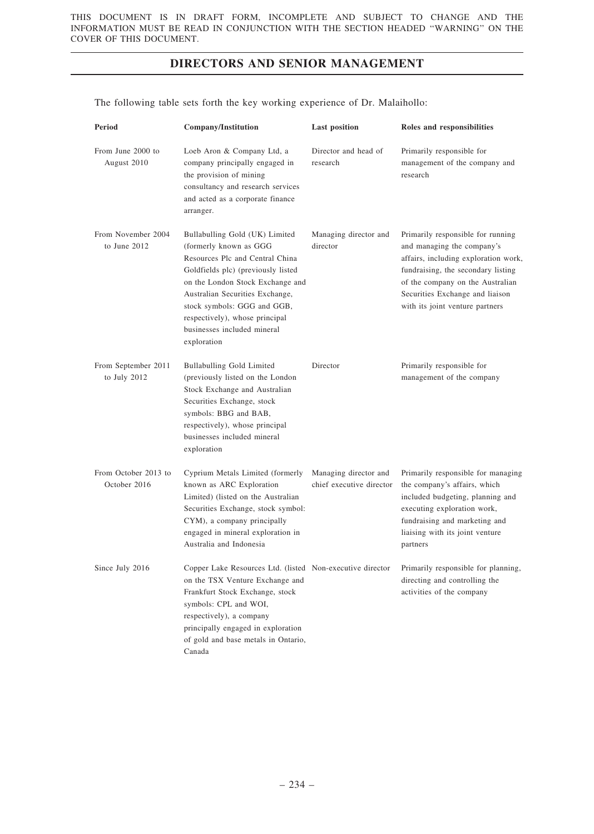| Period                               | <b>Company/Institution</b>                                                                                                                                                                                                                                                                                              | <b>Last position</b>                              | Roles and responsibilities                                                                                                                                                                                                                              |
|--------------------------------------|-------------------------------------------------------------------------------------------------------------------------------------------------------------------------------------------------------------------------------------------------------------------------------------------------------------------------|---------------------------------------------------|---------------------------------------------------------------------------------------------------------------------------------------------------------------------------------------------------------------------------------------------------------|
| From June 2000 to<br>August 2010     | Loeb Aron & Company Ltd, a<br>company principally engaged in<br>the provision of mining<br>consultancy and research services<br>and acted as a corporate finance<br>arranger.                                                                                                                                           | Director and head of<br>research                  | Primarily responsible for<br>management of the company and<br>research                                                                                                                                                                                  |
| From November 2004<br>to June $2012$ | Bullabulling Gold (UK) Limited<br>(formerly known as GGG<br>Resources Plc and Central China<br>Goldfields plc) (previously listed<br>on the London Stock Exchange and<br>Australian Securities Exchange,<br>stock symbols: GGG and GGB,<br>respectively), whose principal<br>businesses included mineral<br>exploration | Managing director and<br>director                 | Primarily responsible for running<br>and managing the company's<br>affairs, including exploration work,<br>fundraising, the secondary listing<br>of the company on the Australian<br>Securities Exchange and liaison<br>with its joint venture partners |
| From September 2011<br>to July 2012  | <b>Bullabulling Gold Limited</b><br>(previously listed on the London<br>Stock Exchange and Australian<br>Securities Exchange, stock<br>symbols: BBG and BAB,<br>respectively), whose principal<br>businesses included mineral<br>exploration                                                                            | Director                                          | Primarily responsible for<br>management of the company                                                                                                                                                                                                  |
| From October 2013 to<br>October 2016 | Cyprium Metals Limited (formerly<br>known as ARC Exploration<br>Limited) (listed on the Australian<br>Securities Exchange, stock symbol:<br>CYM), a company principally<br>engaged in mineral exploration in<br>Australia and Indonesia                                                                                 | Managing director and<br>chief executive director | Primarily responsible for managing<br>the company's affairs, which<br>included budgeting, planning and<br>executing exploration work,<br>fundraising and marketing and<br>liaising with its joint venture<br>partners                                   |
| Since July 2016                      | Copper Lake Resources Ltd. (listed Non-executive director<br>on the TSX Venture Exchange and<br>Frankfurt Stock Exchange, stock<br>symbols: CPL and WOI,<br>respectively), a company<br>principally engaged in exploration<br>of gold and base metals in Ontario,<br>Canada                                             |                                                   | Primarily responsible for planning,<br>directing and controlling the<br>activities of the company                                                                                                                                                       |

The following table sets forth the key working experience of Dr. Malaihollo: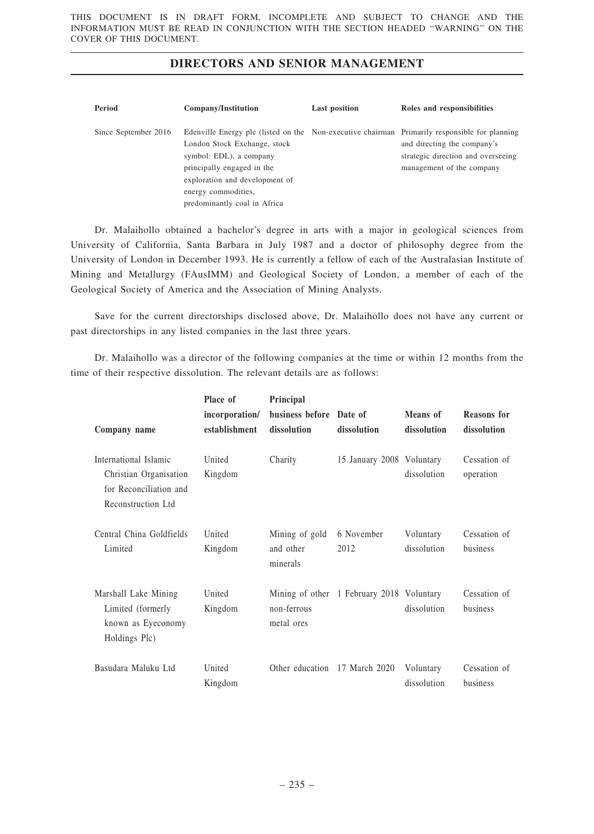| Period               | Company/Institution                                                                                                                                                                                                                                                             | <b>Last position</b> | Roles and responsibilities                                                                     |
|----------------------|---------------------------------------------------------------------------------------------------------------------------------------------------------------------------------------------------------------------------------------------------------------------------------|----------------------|------------------------------------------------------------------------------------------------|
| Since September 2016 | Edenville Energy plc (listed on the Non-executive chairman Primarily responsible for planning<br>London Stock Exchange, stock<br>symbol: EDL), a company<br>principally engaged in the<br>exploration and development of<br>energy commodities,<br>predominantly coal in Africa |                      | and directing the company's<br>strategic direction and overseeing<br>management of the company |

Dr. Malaihollo obtained a bachelor's degree in arts with a major in geological sciences from University of California, Santa Barbara in July 1987 and a doctor of philosophy degree from the University of London in December 1993. He is currently a fellow of each of the Australasian Institute of Mining and Metallurgy (FAusIMM) and Geological Society of London, a member of each of the Geological Society of America and the Association of Mining Analysts.

Save for the current directorships disclosed above, Dr. Malaihollo does not have any current or past directorships in any listed companies in the last three years.

Dr. Malaihollo was a director of the following companies at the time or within 12 months from the time of their respective dissolution. The relevant details are as follows:

| Company name                                                                                    | Place of<br>incorporation/<br>establishment | Principal<br>business before Date of<br>dissolution | dissolution                               | Means of<br>dissolution  | <b>Reasons</b> for<br>dissolution |
|-------------------------------------------------------------------------------------------------|---------------------------------------------|-----------------------------------------------------|-------------------------------------------|--------------------------|-----------------------------------|
| International Islamic<br>Christian Organisation<br>for Reconciliation and<br>Reconstruction Ltd | United<br>Kingdom                           | Charity                                             | 15 January 2008 Voluntary                 | dissolution              | Cessation of<br>operation         |
| Central China Goldfields<br>Limited                                                             | United<br>Kingdom                           | Mining of gold<br>and other<br>minerals             | 6 November<br>2012                        | Voluntary<br>dissolution | Cessation of<br>business          |
| Marshall Lake Mining<br>Limited (formerly<br>known as Eyeconomy<br>Holdings Plc)                | United<br>Kingdom                           | non-ferrous<br>metal ores                           | Mining of other 1 February 2018 Voluntary | dissolution              | Cessation of<br>business          |
| Basudara Maluku Ltd                                                                             | United<br>Kingdom                           | Other education 17 March 2020                       |                                           | Voluntary<br>dissolution | Cessation of<br>business          |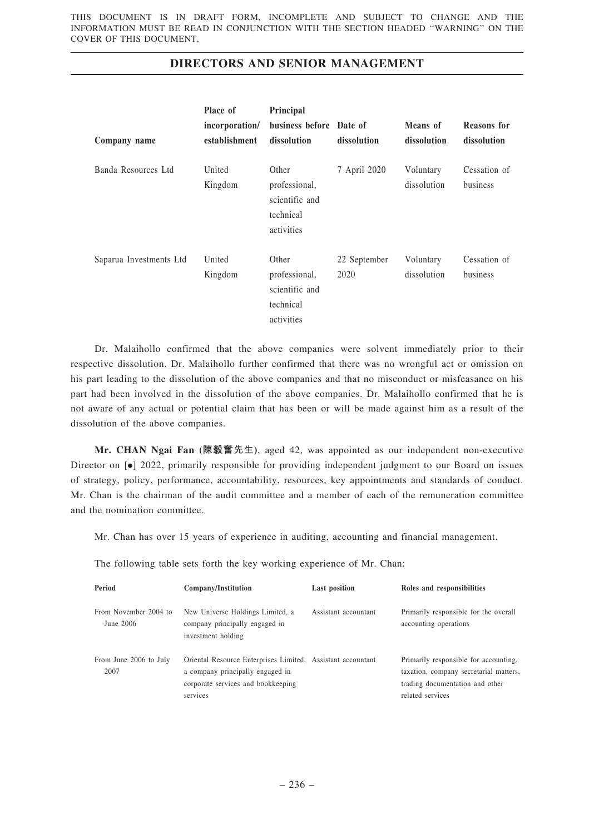|                         | Place of          | Principal                                                           |                      |                          |                          |
|-------------------------|-------------------|---------------------------------------------------------------------|----------------------|--------------------------|--------------------------|
|                         | incorporation/    | business before Date of                                             |                      | Means of                 | <b>Reasons</b> for       |
| Company name            | establishment     | dissolution                                                         | dissolution          | dissolution              | dissolution              |
| Banda Resources Ltd     | United<br>Kingdom | Other<br>professional,<br>scientific and<br>technical<br>activities | 7 April 2020         | Voluntary<br>dissolution | Cessation of<br>business |
| Saparua Investments Ltd | United<br>Kingdom | Other<br>professional,<br>scientific and<br>technical<br>activities | 22 September<br>2020 | Voluntary<br>dissolution | Cessation of<br>business |

Dr. Malaihollo confirmed that the above companies were solvent immediately prior to their respective dissolution. Dr. Malaihollo further confirmed that there was no wrongful act or omission on his part leading to the dissolution of the above companies and that no misconduct or misfeasance on his part had been involved in the dissolution of the above companies. Dr. Malaihollo confirmed that he is not aware of any actual or potential claim that has been or will be made against him as a result of the dissolution of the above companies.

Mr. CHAN Ngai Fan (陳毅奮先生), aged 42, was appointed as our independent non-executive Director on [ $\bullet$ ] 2022, primarily responsible for providing independent judgment to our Board on issues of strategy, policy, performance, accountability, resources, key appointments and standards of conduct. Mr. Chan is the chairman of the audit committee and a member of each of the remuneration committee and the nomination committee.

Mr. Chan has over 15 years of experience in auditing, accounting and financial management.

| Period                               | Company/Institution                                                                                                                               | <b>Last position</b> | Roles and responsibilities                                                                                                             |
|--------------------------------------|---------------------------------------------------------------------------------------------------------------------------------------------------|----------------------|----------------------------------------------------------------------------------------------------------------------------------------|
| From November 2004 to<br>June $2006$ | New Universe Holdings Limited, a<br>company principally engaged in<br>investment holding                                                          | Assistant accountant | Primarily responsible for the overall<br>accounting operations                                                                         |
| From June 2006 to July<br>2007       | Oriental Resource Enterprises Limited, Assistant accountant<br>a company principally engaged in<br>corporate services and bookkeeping<br>services |                      | Primarily responsible for accounting,<br>taxation, company secretarial matters.<br>trading documentation and other<br>related services |

The following table sets forth the key working experience of Mr. Chan: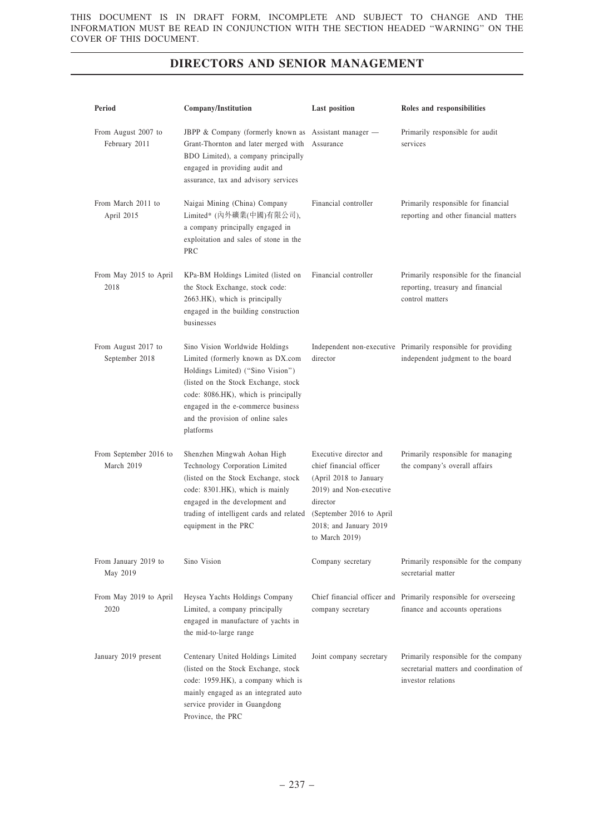| Period                                | <b>Company/Institution</b>                                                                                                                                                                                                                                                       | <b>Last position</b>                                                                                                                                                                          | Roles and responsibilities                                                                             |
|---------------------------------------|----------------------------------------------------------------------------------------------------------------------------------------------------------------------------------------------------------------------------------------------------------------------------------|-----------------------------------------------------------------------------------------------------------------------------------------------------------------------------------------------|--------------------------------------------------------------------------------------------------------|
| From August 2007 to<br>February 2011  | JBPP & Company (formerly known as Assistant manager -<br>Grant-Thornton and later merged with<br>BDO Limited), a company principally<br>engaged in providing audit and<br>assurance, tax and advisory services                                                                   | Assurance                                                                                                                                                                                     | Primarily responsible for audit<br>services                                                            |
| From March 2011 to<br>April 2015      | Naigai Mining (China) Company<br>Limited* (內外礦業(中國)有限公司),<br>a company principally engaged in<br>exploitation and sales of stone in the<br><b>PRC</b>                                                                                                                            | Financial controller                                                                                                                                                                          | Primarily responsible for financial<br>reporting and other financial matters                           |
| From May 2015 to April<br>2018        | KPa-BM Holdings Limited (listed on<br>the Stock Exchange, stock code:<br>2663.HK), which is principally<br>engaged in the building construction<br>businesses                                                                                                                    | Financial controller                                                                                                                                                                          | Primarily responsible for the financial<br>reporting, treasury and financial<br>control matters        |
| From August 2017 to<br>September 2018 | Sino Vision Worldwide Holdings<br>Limited (formerly known as DX.com<br>Holdings Limited) ("Sino Vision")<br>(listed on the Stock Exchange, stock<br>code: 8086.HK), which is principally<br>engaged in the e-commerce business<br>and the provision of online sales<br>platforms | director                                                                                                                                                                                      | Independent non-executive Primarily responsible for providing<br>independent judgment to the board     |
| From September 2016 to<br>March 2019  | Shenzhen Mingwah Aohan High<br>Technology Corporation Limited<br>(listed on the Stock Exchange, stock<br>code: 8301.HK), which is mainly<br>engaged in the development and<br>trading of intelligent cards and related<br>equipment in the PRC                                   | Executive director and<br>chief financial officer<br>(April 2018 to January<br>2019) and Non-executive<br>director<br>(September 2016 to April<br>2018; and January 2019<br>to March $2019$ ) | Primarily responsible for managing<br>the company's overall affairs                                    |
| From January 2019 to<br>May 2019      | Sino Vision                                                                                                                                                                                                                                                                      | Company secretary                                                                                                                                                                             | Primarily responsible for the company<br>secretarial matter                                            |
| From May 2019 to April<br>2020        | Heysea Yachts Holdings Company<br>Limited, a company principally<br>engaged in manufacture of yachts in<br>the mid-to-large range                                                                                                                                                | company secretary                                                                                                                                                                             | Chief financial officer and Primarily responsible for overseeing<br>finance and accounts operations    |
| January 2019 present                  | Centenary United Holdings Limited<br>(listed on the Stock Exchange, stock<br>code: 1959.HK), a company which is<br>mainly engaged as an integrated auto<br>service provider in Guangdong<br>Province, the PRC                                                                    | Joint company secretary                                                                                                                                                                       | Primarily responsible for the company<br>secretarial matters and coordination of<br>investor relations |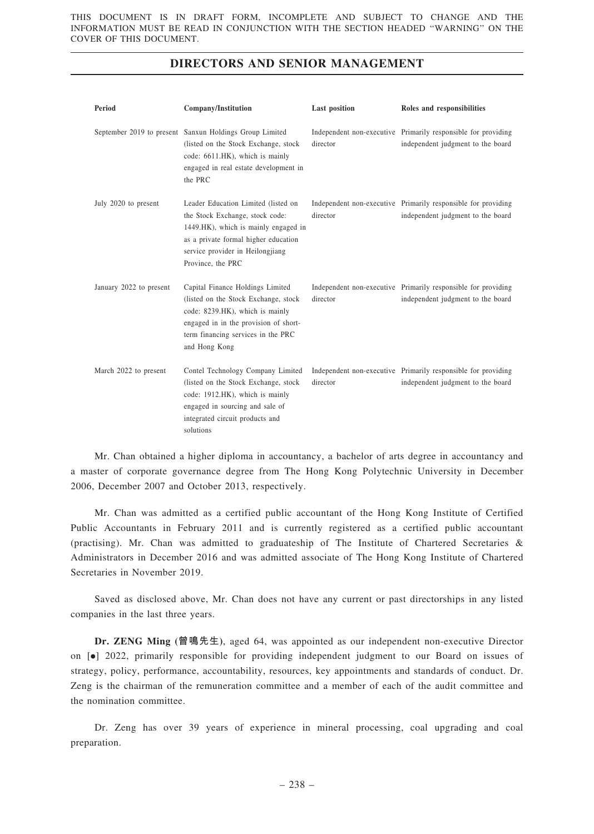| Period                  | Company/Institution                                                                                                                                                                                             | Last position | Roles and responsibilities                                                                         |
|-------------------------|-----------------------------------------------------------------------------------------------------------------------------------------------------------------------------------------------------------------|---------------|----------------------------------------------------------------------------------------------------|
|                         | September 2019 to present Sanxun Holdings Group Limited<br>(listed on the Stock Exchange, stock)<br>code: 6611.HK), which is mainly<br>engaged in real estate development in<br>the PRC                         | director      | Independent non-executive Primarily responsible for providing<br>independent judgment to the board |
| July 2020 to present    | Leader Education Limited (listed on<br>the Stock Exchange, stock code:<br>1449.HK), which is mainly engaged in<br>as a private formal higher education<br>service provider in Heilongjiang<br>Province, the PRC | director      | Independent non-executive Primarily responsible for providing<br>independent judgment to the board |
| January 2022 to present | Capital Finance Holdings Limited<br>(listed on the Stock Exchange, stock<br>code: 8239.HK), which is mainly<br>engaged in in the provision of short-<br>term financing services in the PRC<br>and Hong Kong     | director      | Independent non-executive Primarily responsible for providing<br>independent judgment to the board |
| March 2022 to present   | Contel Technology Company Limited<br>(listed on the Stock Exchange, stock<br>code: 1912.HK), which is mainly<br>engaged in sourcing and sale of<br>integrated circuit products and<br>solutions                 | director      | Independent non-executive Primarily responsible for providing<br>independent judgment to the board |

Mr. Chan obtained a higher diploma in accountancy, a bachelor of arts degree in accountancy and a master of corporate governance degree from The Hong Kong Polytechnic University in December 2006, December 2007 and October 2013, respectively.

Mr. Chan was admitted as a certified public accountant of the Hong Kong Institute of Certified Public Accountants in February 2011 and is currently registered as a certified public accountant (practising). Mr. Chan was admitted to graduateship of The Institute of Chartered Secretaries & Administrators in December 2016 and was admitted associate of The Hong Kong Institute of Chartered Secretaries in November 2019.

Saved as disclosed above, Mr. Chan does not have any current or past directorships in any listed companies in the last three years.

Dr. ZENG Ming (曾鳴先生), aged 64, was appointed as our independent non-executive Director on [.] 2022, primarily responsible for providing independent judgment to our Board on issues of strategy, policy, performance, accountability, resources, key appointments and standards of conduct. Dr. Zeng is the chairman of the remuneration committee and a member of each of the audit committee and the nomination committee.

Dr. Zeng has over 39 years of experience in mineral processing, coal upgrading and coal preparation.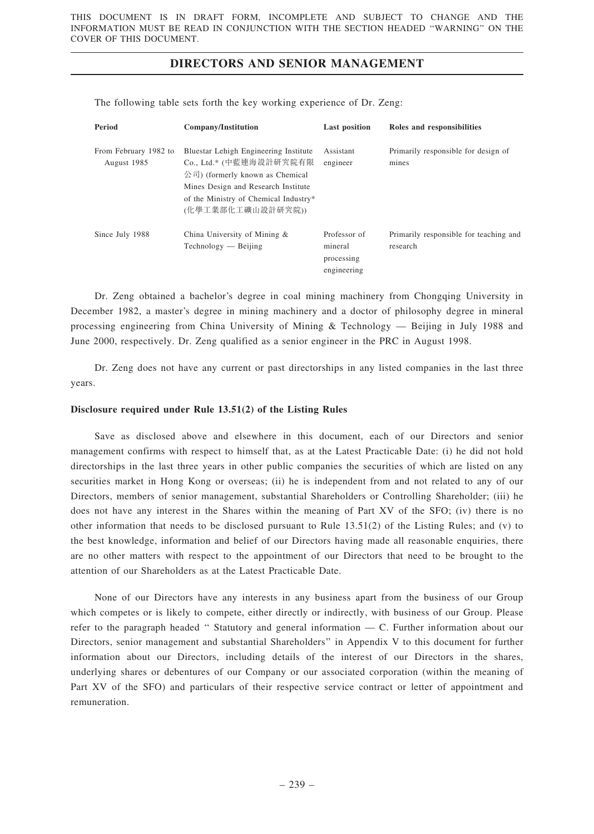| Period                               | Company/Institution                                                                                                                                                                                      | <b>Last position</b>                                 | Roles and responsibilities                         |
|--------------------------------------|----------------------------------------------------------------------------------------------------------------------------------------------------------------------------------------------------------|------------------------------------------------------|----------------------------------------------------|
| From February 1982 to<br>August 1985 | Bluestar Lehigh Engineering Institute<br>Co., Ltd.* (中藍連海設計研究院有限<br>公司) (formerly known as Chemical<br>Mines Design and Research Institute<br>of the Ministry of Chemical Industry*<br>(化學工業部化工礦山設計研究院)) | Assistant<br>engineer                                | Primarily responsible for design of<br>mines       |
| Since July 1988                      | China University of Mining &<br>$Technology - Beijing$                                                                                                                                                   | Professor of<br>mineral<br>processing<br>engineering | Primarily responsible for teaching and<br>research |

The following table sets forth the key working experience of Dr. Zeng:

Dr. Zeng obtained a bachelor's degree in coal mining machinery from Chongqing University in December 1982, a master's degree in mining machinery and a doctor of philosophy degree in mineral processing engineering from China University of Mining & Technology — Beijing in July 1988 and June 2000, respectively. Dr. Zeng qualified as a senior engineer in the PRC in August 1998.

Dr. Zeng does not have any current or past directorships in any listed companies in the last three years.

#### Disclosure required under Rule 13.51(2) of the Listing Rules

Save as disclosed above and elsewhere in this document, each of our Directors and senior management confirms with respect to himself that, as at the Latest Practicable Date: (i) he did not hold directorships in the last three years in other public companies the securities of which are listed on any securities market in Hong Kong or overseas; (ii) he is independent from and not related to any of our Directors, members of senior management, substantial Shareholders or Controlling Shareholder; (iii) he does not have any interest in the Shares within the meaning of Part XV of the SFO; (iv) there is no other information that needs to be disclosed pursuant to Rule 13.51(2) of the Listing Rules; and (v) to the best knowledge, information and belief of our Directors having made all reasonable enquiries, there are no other matters with respect to the appointment of our Directors that need to be brought to the attention of our Shareholders as at the Latest Practicable Date.

None of our Directors have any interests in any business apart from the business of our Group which competes or is likely to compete, either directly or indirectly, with business of our Group. Please refer to the paragraph headed '' Statutory and general information — C. Further information about our Directors, senior management and substantial Shareholders'' in Appendix V to this document for further information about our Directors, including details of the interest of our Directors in the shares, underlying shares or debentures of our Company or our associated corporation (within the meaning of Part XV of the SFO) and particulars of their respective service contract or letter of appointment and remuneration.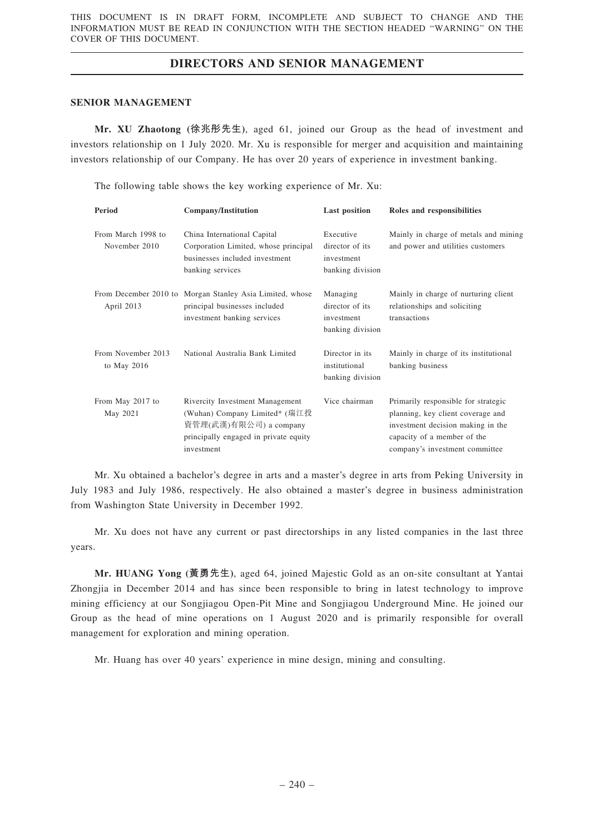### SENIOR MANAGEMENT

Mr. XU Zhaotong (徐兆彤先生), aged 61, joined our Group as the head of investment and investors relationship on 1 July 2020. Mr. Xu is responsible for merger and acquisition and maintaining investors relationship of our Company. He has over 20 years of experience in investment banking.

The following table shows the key working experience of Mr. Xu:

| Period                              | Company/Institution                                                                                                                               | <b>Last position</b>                                           | Roles and responsibilities                                                                                                                                                     |
|-------------------------------------|---------------------------------------------------------------------------------------------------------------------------------------------------|----------------------------------------------------------------|--------------------------------------------------------------------------------------------------------------------------------------------------------------------------------|
| From March 1998 to<br>November 2010 | China International Capital<br>Corporation Limited, whose principal<br>businesses included investment<br>banking services                         | Executive<br>director of its<br>investment<br>banking division | Mainly in charge of metals and mining<br>and power and utilities customers                                                                                                     |
| April 2013                          | From December 2010 to Morgan Stanley Asia Limited, whose<br>principal businesses included<br>investment banking services                          | Managing<br>director of its<br>investment<br>banking division  | Mainly in charge of nurturing client<br>relationships and soliciting<br>transactions                                                                                           |
| From November 2013<br>to May $2016$ | National Australia Bank Limited                                                                                                                   | Director in its<br>institutional<br>banking division           | Mainly in charge of its institutional<br>banking business                                                                                                                      |
| From May 2017 to<br>May 2021        | Rivercity Investment Management<br>(Wuhan) Company Limited* (瑞江投<br>資管理(武漢)有限公司) a company<br>principally engaged in private equity<br>investment | Vice chairman                                                  | Primarily responsible for strategic<br>planning, key client coverage and<br>investment decision making in the<br>capacity of a member of the<br>company's investment committee |

Mr. Xu obtained a bachelor's degree in arts and a master's degree in arts from Peking University in July 1983 and July 1986, respectively. He also obtained a master's degree in business administration from Washington State University in December 1992.

Mr. Xu does not have any current or past directorships in any listed companies in the last three years.

Mr. HUANG Yong (黃勇先生), aged 64, joined Majestic Gold as an on-site consultant at Yantai Zhongjia in December 2014 and has since been responsible to bring in latest technology to improve mining efficiency at our Songjiagou Open-Pit Mine and Songjiagou Underground Mine. He joined our Group as the head of mine operations on 1 August 2020 and is primarily responsible for overall management for exploration and mining operation.

Mr. Huang has over 40 years' experience in mine design, mining and consulting.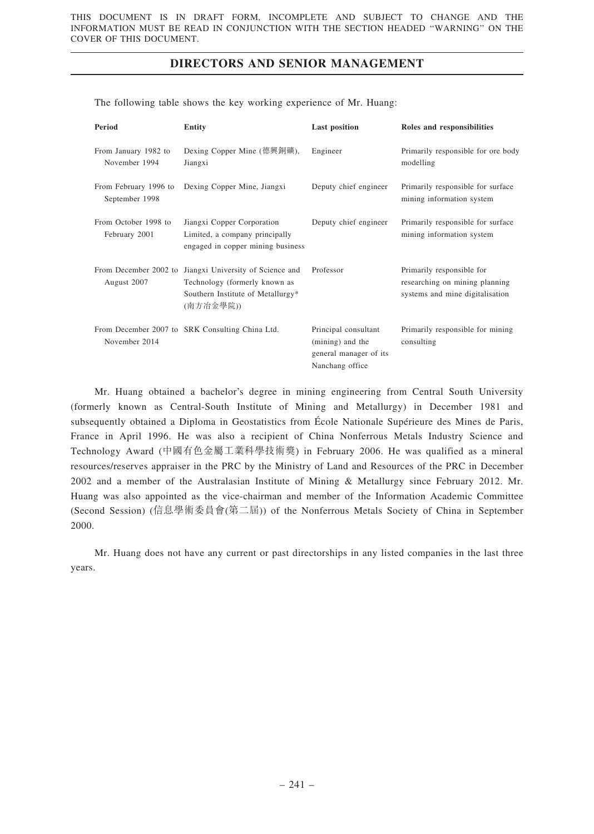The following table shows the key working experience of Mr. Huang:

| Period                                  | <b>Entity</b>                                                                                                                              | <b>Last position</b>                                                                  | Roles and responsibilities                                                                     |
|-----------------------------------------|--------------------------------------------------------------------------------------------------------------------------------------------|---------------------------------------------------------------------------------------|------------------------------------------------------------------------------------------------|
| From January 1982 to<br>November 1994   | Dexing Copper Mine (德興銅礦),<br>Jiangxi                                                                                                      | Engineer                                                                              | Primarily responsible for ore body<br>modelling                                                |
| From February 1996 to<br>September 1998 | Dexing Copper Mine, Jiangxi                                                                                                                | Deputy chief engineer                                                                 | Primarily responsible for surface<br>mining information system                                 |
| From October 1998 to<br>February 2001   | Jiangxi Copper Corporation<br>Limited, a company principally<br>engaged in copper mining business                                          | Deputy chief engineer                                                                 | Primarily responsible for surface<br>mining information system                                 |
| August 2007                             | From December 2002 to Jiangxi University of Science and<br>Technology (formerly known as<br>Southern Institute of Metallurgy*<br>(南方冶金學院)) | Professor                                                                             | Primarily responsible for<br>researching on mining planning<br>systems and mine digitalisation |
| November 2014                           | From December 2007 to SRK Consulting China Ltd.                                                                                            | Principal consultant<br>(mining) and the<br>general manager of its<br>Nanchang office | Primarily responsible for mining<br>consulting                                                 |

Mr. Huang obtained a bachelor's degree in mining engineering from Central South University (formerly known as Central-South Institute of Mining and Metallurgy) in December 1981 and subsequently obtained a Diploma in Geostatistics from École Nationale Supérieure des Mines de Paris, France in April 1996. He was also a recipient of China Nonferrous Metals Industry Science and Technology Award (中國有色金屬工業科學技術獎) in February 2006. He was qualified as a mineral resources/reserves appraiser in the PRC by the Ministry of Land and Resources of the PRC in December 2002 and a member of the Australasian Institute of Mining & Metallurgy since February 2012. Mr. Huang was also appointed as the vice-chairman and member of the Information Academic Committee (Second Session) (信息學術委員會(第二屆)) of the Nonferrous Metals Society of China in September 2000.

Mr. Huang does not have any current or past directorships in any listed companies in the last three years.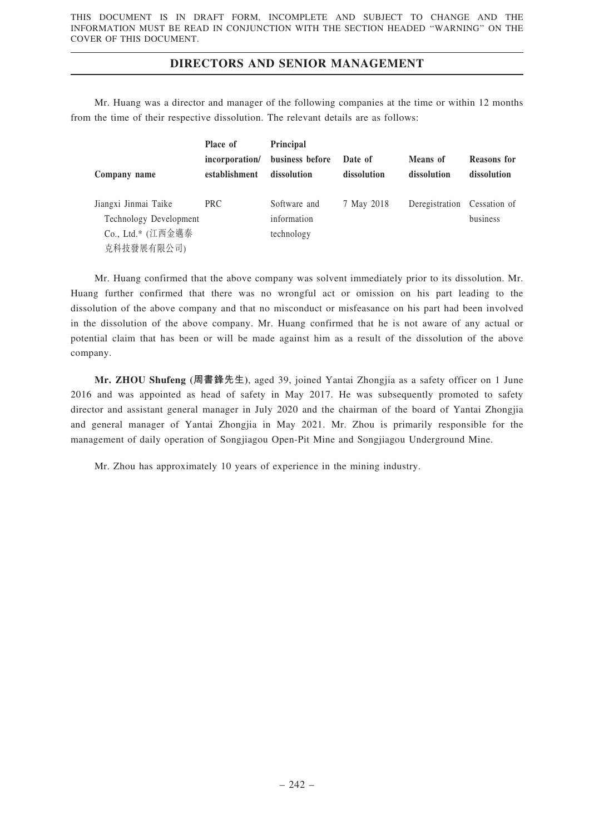Mr. Huang was a director and manager of the following companies at the time or within 12 months from the time of their respective dissolution. The relevant details are as follows:

|                        | Place of                        | <b>Principal</b>               |                        |                         |                            |
|------------------------|---------------------------------|--------------------------------|------------------------|-------------------------|----------------------------|
| Company name           | incorporation/<br>establishment | business before<br>dissolution | Date of<br>dissolution | Means of<br>dissolution | Reasons for<br>dissolution |
| Jiangxi Jinmai Taike   | PRC                             | Software and                   | 7 May 2018             | Deregistration          | Cessation of               |
| Technology Development |                                 | information                    |                        |                         | business                   |
| Co., Ltd.* (江西金邁泰      |                                 | technology                     |                        |                         |                            |
| 克科技發展有限公司)             |                                 |                                |                        |                         |                            |

Mr. Huang confirmed that the above company was solvent immediately prior to its dissolution. Mr. Huang further confirmed that there was no wrongful act or omission on his part leading to the dissolution of the above company and that no misconduct or misfeasance on his part had been involved in the dissolution of the above company. Mr. Huang confirmed that he is not aware of any actual or potential claim that has been or will be made against him as a result of the dissolution of the above company.

Mr. ZHOU Shufeng (周書鋒先生), aged 39, joined Yantai Zhongjia as a safety officer on 1 June 2016 and was appointed as head of safety in May 2017. He was subsequently promoted to safety director and assistant general manager in July 2020 and the chairman of the board of Yantai Zhongjia and general manager of Yantai Zhongjia in May 2021. Mr. Zhou is primarily responsible for the management of daily operation of Songjiagou Open-Pit Mine and Songjiagou Underground Mine.

Mr. Zhou has approximately 10 years of experience in the mining industry.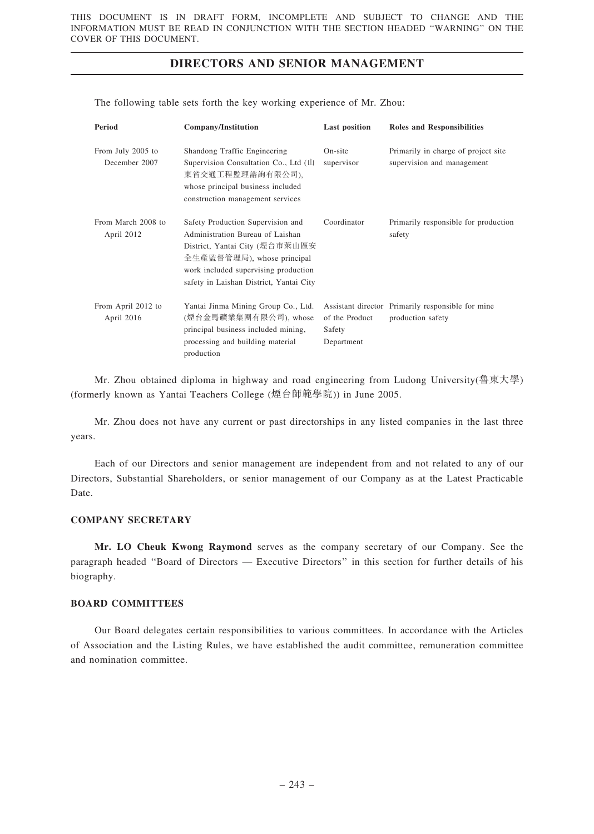| Period                             | Company/Institution                                                                                                                                                                                                      | <b>Last position</b>                   | <b>Roles and Responsibilities</b>                                      |
|------------------------------------|--------------------------------------------------------------------------------------------------------------------------------------------------------------------------------------------------------------------------|----------------------------------------|------------------------------------------------------------------------|
| From July 2005 to<br>December 2007 | Shandong Traffic Engineering<br>Supervision Consultation Co., Ltd (山<br>東省交通工程監理諮詢有限公司),<br>whose principal business included<br>construction management services                                                        | On-site<br>supervisor                  | Primarily in charge of project site<br>supervision and management      |
| From March 2008 to<br>April 2012   | Safety Production Supervision and<br>Administration Bureau of Laishan<br>District, Yantai City (煙台市萊山區安<br>全生產監督管理局), whose principal<br>work included supervising production<br>safety in Laishan District, Yantai City | Coordinator                            | Primarily responsible for production<br>safety                         |
| From April 2012 to<br>April 2016   | Yantai Jinma Mining Group Co., Ltd.<br>(煙台金馬礦業集團有限公司), whose<br>principal business included mining,<br>processing and building material<br>production                                                                    | of the Product<br>Safety<br>Department | Assistant director Primarily responsible for mine<br>production safety |

The following table sets forth the key working experience of Mr. Zhou:

Mr. Zhou obtained diploma in highway and road engineering from Ludong University(魯東大學) (formerly known as Yantai Teachers College (煙台師範學院)) in June 2005.

Mr. Zhou does not have any current or past directorships in any listed companies in the last three years.

Each of our Directors and senior management are independent from and not related to any of our Directors, Substantial Shareholders, or senior management of our Company as at the Latest Practicable Date.

### COMPANY SECRETARY

Mr. LO Cheuk Kwong Raymond serves as the company secretary of our Company. See the paragraph headed ''Board of Directors — Executive Directors'' in this section for further details of his biography.

### BOARD COMMITTEES

Our Board delegates certain responsibilities to various committees. In accordance with the Articles of Association and the Listing Rules, we have established the audit committee, remuneration committee and nomination committee.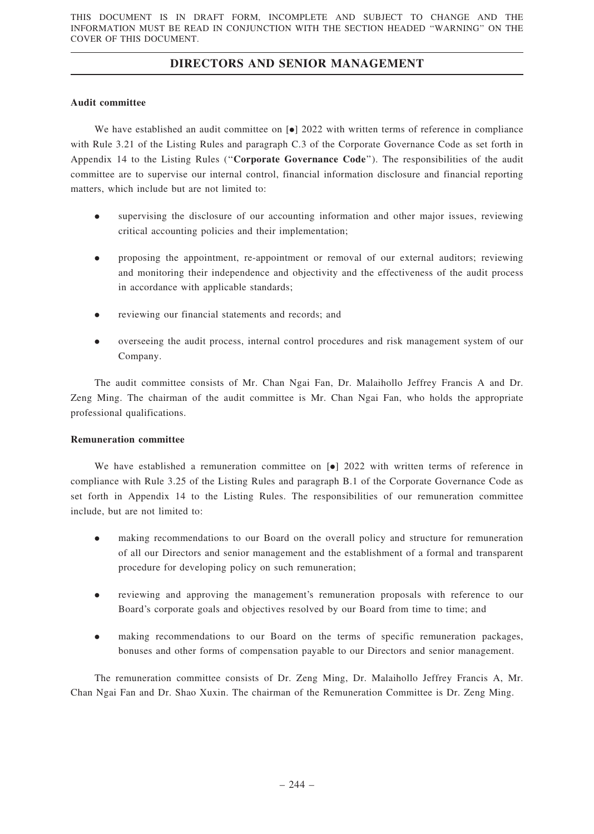### Audit committee

We have established an audit committee on  $\lceil \bullet \rceil$  2022 with written terms of reference in compliance with Rule 3.21 of the Listing Rules and paragraph C.3 of the Corporate Governance Code as set forth in Appendix 14 to the Listing Rules (''Corporate Governance Code''). The responsibilities of the audit committee are to supervise our internal control, financial information disclosure and financial reporting matters, which include but are not limited to:

- supervising the disclosure of our accounting information and other major issues, reviewing critical accounting policies and their implementation;
- . proposing the appointment, re-appointment or removal of our external auditors; reviewing and monitoring their independence and objectivity and the effectiveness of the audit process in accordance with applicable standards;
- . reviewing our financial statements and records; and
- . overseeing the audit process, internal control procedures and risk management system of our Company.

The audit committee consists of Mr. Chan Ngai Fan, Dr. Malaihollo Jeffrey Francis A and Dr. Zeng Ming. The chairman of the audit committee is Mr. Chan Ngai Fan, who holds the appropriate professional qualifications.

### Remuneration committee

We have established a remuneration committee on  $\bullet$  2022 with written terms of reference in compliance with Rule 3.25 of the Listing Rules and paragraph B.1 of the Corporate Governance Code as set forth in Appendix 14 to the Listing Rules. The responsibilities of our remuneration committee include, but are not limited to:

- . making recommendations to our Board on the overall policy and structure for remuneration of all our Directors and senior management and the establishment of a formal and transparent procedure for developing policy on such remuneration;
- . reviewing and approving the management's remuneration proposals with reference to our Board's corporate goals and objectives resolved by our Board from time to time; and
- . making recommendations to our Board on the terms of specific remuneration packages, bonuses and other forms of compensation payable to our Directors and senior management.

The remuneration committee consists of Dr. Zeng Ming, Dr. Malaihollo Jeffrey Francis A, Mr. Chan Ngai Fan and Dr. Shao Xuxin. The chairman of the Remuneration Committee is Dr. Zeng Ming.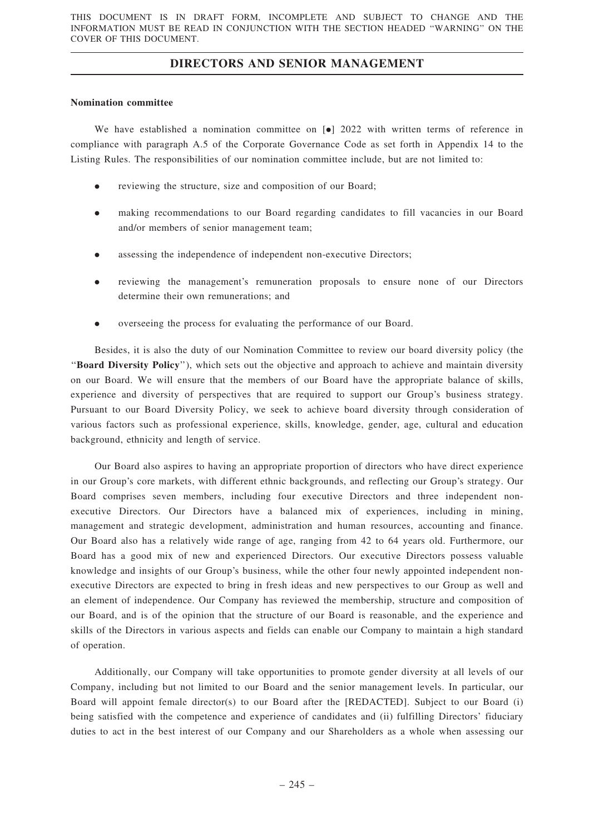### Nomination committee

We have established a nomination committee on  $\lceil \bullet \rceil$  2022 with written terms of reference in compliance with paragraph A.5 of the Corporate Governance Code as set forth in Appendix 14 to the Listing Rules. The responsibilities of our nomination committee include, but are not limited to:

- . reviewing the structure, size and composition of our Board;
- . making recommendations to our Board regarding candidates to fill vacancies in our Board and/or members of senior management team;
- assessing the independence of independent non-executive Directors;
- . reviewing the management's remuneration proposals to ensure none of our Directors determine their own remunerations; and
- . overseeing the process for evaluating the performance of our Board.

Besides, it is also the duty of our Nomination Committee to review our board diversity policy (the ''Board Diversity Policy''), which sets out the objective and approach to achieve and maintain diversity on our Board. We will ensure that the members of our Board have the appropriate balance of skills, experience and diversity of perspectives that are required to support our Group's business strategy. Pursuant to our Board Diversity Policy, we seek to achieve board diversity through consideration of various factors such as professional experience, skills, knowledge, gender, age, cultural and education background, ethnicity and length of service.

Our Board also aspires to having an appropriate proportion of directors who have direct experience in our Group's core markets, with different ethnic backgrounds, and reflecting our Group's strategy. Our Board comprises seven members, including four executive Directors and three independent nonexecutive Directors. Our Directors have a balanced mix of experiences, including in mining, management and strategic development, administration and human resources, accounting and finance. Our Board also has a relatively wide range of age, ranging from 42 to 64 years old. Furthermore, our Board has a good mix of new and experienced Directors. Our executive Directors possess valuable knowledge and insights of our Group's business, while the other four newly appointed independent nonexecutive Directors are expected to bring in fresh ideas and new perspectives to our Group as well and an element of independence. Our Company has reviewed the membership, structure and composition of our Board, and is of the opinion that the structure of our Board is reasonable, and the experience and skills of the Directors in various aspects and fields can enable our Company to maintain a high standard of operation.

Additionally, our Company will take opportunities to promote gender diversity at all levels of our Company, including but not limited to our Board and the senior management levels. In particular, our Board will appoint female director(s) to our Board after the [REDACTED]. Subject to our Board (i) being satisfied with the competence and experience of candidates and (ii) fulfilling Directors' fiduciary duties to act in the best interest of our Company and our Shareholders as a whole when assessing our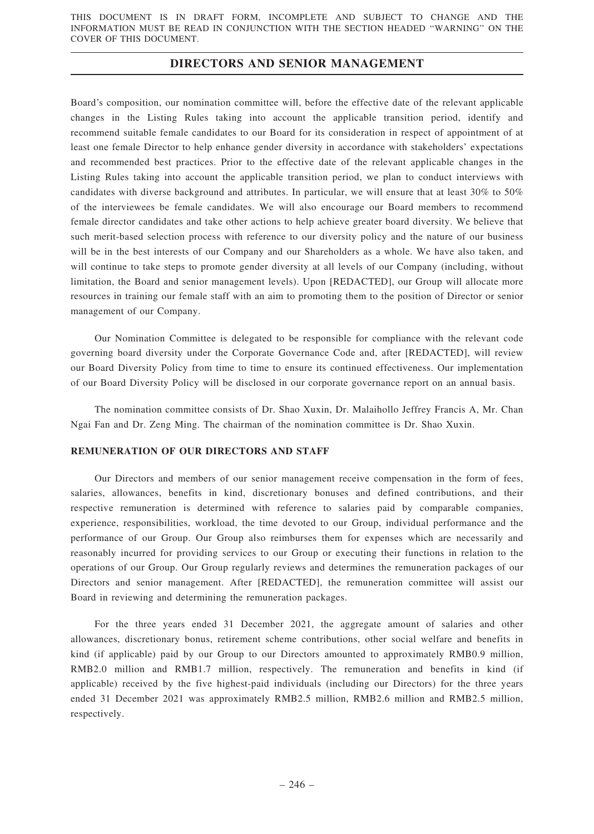Board's composition, our nomination committee will, before the effective date of the relevant applicable changes in the Listing Rules taking into account the applicable transition period, identify and recommend suitable female candidates to our Board for its consideration in respect of appointment of at least one female Director to help enhance gender diversity in accordance with stakeholders' expectations and recommended best practices. Prior to the effective date of the relevant applicable changes in the Listing Rules taking into account the applicable transition period, we plan to conduct interviews with candidates with diverse background and attributes. In particular, we will ensure that at least 30% to 50% of the interviewees be female candidates. We will also encourage our Board members to recommend female director candidates and take other actions to help achieve greater board diversity. We believe that such merit-based selection process with reference to our diversity policy and the nature of our business will be in the best interests of our Company and our Shareholders as a whole. We have also taken, and will continue to take steps to promote gender diversity at all levels of our Company (including, without limitation, the Board and senior management levels). Upon [REDACTED], our Group will allocate more resources in training our female staff with an aim to promoting them to the position of Director or senior management of our Company.

Our Nomination Committee is delegated to be responsible for compliance with the relevant code governing board diversity under the Corporate Governance Code and, after [REDACTED], will review our Board Diversity Policy from time to time to ensure its continued effectiveness. Our implementation of our Board Diversity Policy will be disclosed in our corporate governance report on an annual basis.

The nomination committee consists of Dr. Shao Xuxin, Dr. Malaihollo Jeffrey Francis A, Mr. Chan Ngai Fan and Dr. Zeng Ming. The chairman of the nomination committee is Dr. Shao Xuxin.

### REMUNERATION OF OUR DIRECTORS AND STAFF

Our Directors and members of our senior management receive compensation in the form of fees, salaries, allowances, benefits in kind, discretionary bonuses and defined contributions, and their respective remuneration is determined with reference to salaries paid by comparable companies, experience, responsibilities, workload, the time devoted to our Group, individual performance and the performance of our Group. Our Group also reimburses them for expenses which are necessarily and reasonably incurred for providing services to our Group or executing their functions in relation to the operations of our Group. Our Group regularly reviews and determines the remuneration packages of our Directors and senior management. After [REDACTED], the remuneration committee will assist our Board in reviewing and determining the remuneration packages.

For the three years ended 31 December 2021, the aggregate amount of salaries and other allowances, discretionary bonus, retirement scheme contributions, other social welfare and benefits in kind (if applicable) paid by our Group to our Directors amounted to approximately RMB0.9 million, RMB2.0 million and RMB1.7 million, respectively. The remuneration and benefits in kind (if applicable) received by the five highest-paid individuals (including our Directors) for the three years ended 31 December 2021 was approximately RMB2.5 million, RMB2.6 million and RMB2.5 million, respectively.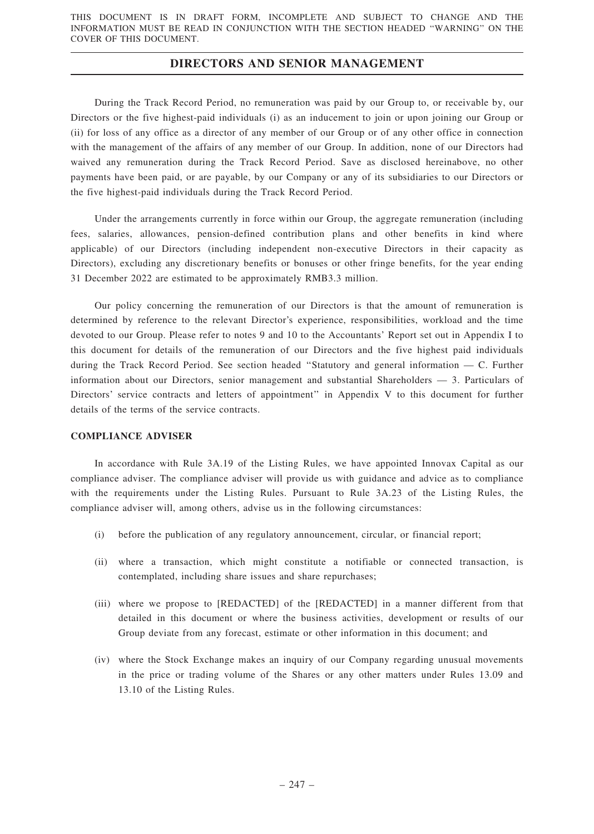During the Track Record Period, no remuneration was paid by our Group to, or receivable by, our Directors or the five highest-paid individuals (i) as an inducement to join or upon joining our Group or (ii) for loss of any office as a director of any member of our Group or of any other office in connection with the management of the affairs of any member of our Group. In addition, none of our Directors had waived any remuneration during the Track Record Period. Save as disclosed hereinabove, no other payments have been paid, or are payable, by our Company or any of its subsidiaries to our Directors or the five highest-paid individuals during the Track Record Period.

Under the arrangements currently in force within our Group, the aggregate remuneration (including fees, salaries, allowances, pension-defined contribution plans and other benefits in kind where applicable) of our Directors (including independent non-executive Directors in their capacity as Directors), excluding any discretionary benefits or bonuses or other fringe benefits, for the year ending 31 December 2022 are estimated to be approximately RMB3.3 million.

Our policy concerning the remuneration of our Directors is that the amount of remuneration is determined by reference to the relevant Director's experience, responsibilities, workload and the time devoted to our Group. Please refer to notes 9 and 10 to the Accountants' Report set out in Appendix I to this document for details of the remuneration of our Directors and the five highest paid individuals during the Track Record Period. See section headed ''Statutory and general information — C. Further information about our Directors, senior management and substantial Shareholders — 3. Particulars of Directors' service contracts and letters of appointment'' in Appendix V to this document for further details of the terms of the service contracts.

### COMPLIANCE ADVISER

In accordance with Rule 3A.19 of the Listing Rules, we have appointed Innovax Capital as our compliance adviser. The compliance adviser will provide us with guidance and advice as to compliance with the requirements under the Listing Rules. Pursuant to Rule 3A.23 of the Listing Rules, the compliance adviser will, among others, advise us in the following circumstances:

- (i) before the publication of any regulatory announcement, circular, or financial report;
- (ii) where a transaction, which might constitute a notifiable or connected transaction, is contemplated, including share issues and share repurchases;
- (iii) where we propose to [REDACTED] of the [REDACTED] in a manner different from that detailed in this document or where the business activities, development or results of our Group deviate from any forecast, estimate or other information in this document; and
- (iv) where the Stock Exchange makes an inquiry of our Company regarding unusual movements in the price or trading volume of the Shares or any other matters under Rules 13.09 and 13.10 of the Listing Rules.